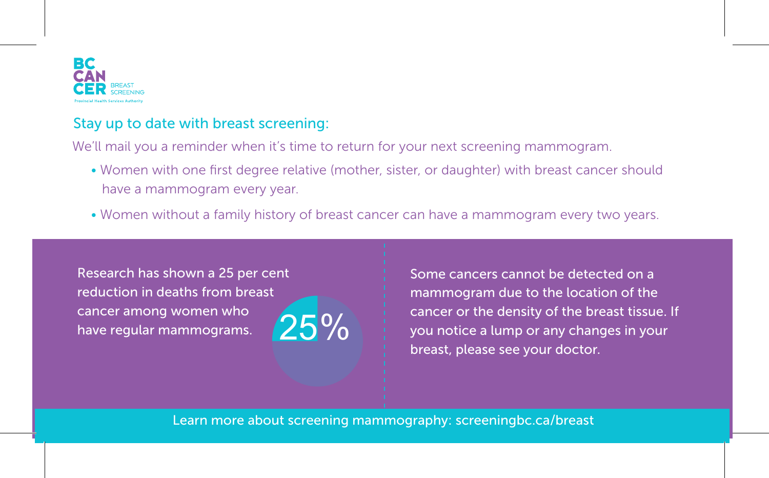

## Stay up to date with breast screening:

We'll mail you a reminder when it's time to return for your next screening mammogram.

- Women with one first degree relative (mother, sister, or daughter) with breast cancer should have a mammogram every year.
- Women without a family history of breast cancer can have a mammogram every two years.

Research has shown a 25 per cent reduction in deaths from breast cancer among women who have regular mammograms.

$$
25\%
$$

Some cancers cannot be detected on a mammogram due to the location of the cancer or the density of the breast tissue. If you notice a lump or any changes in your breast, please see your doctor.

Learn more about screening mammography: screeningbc.ca/breast